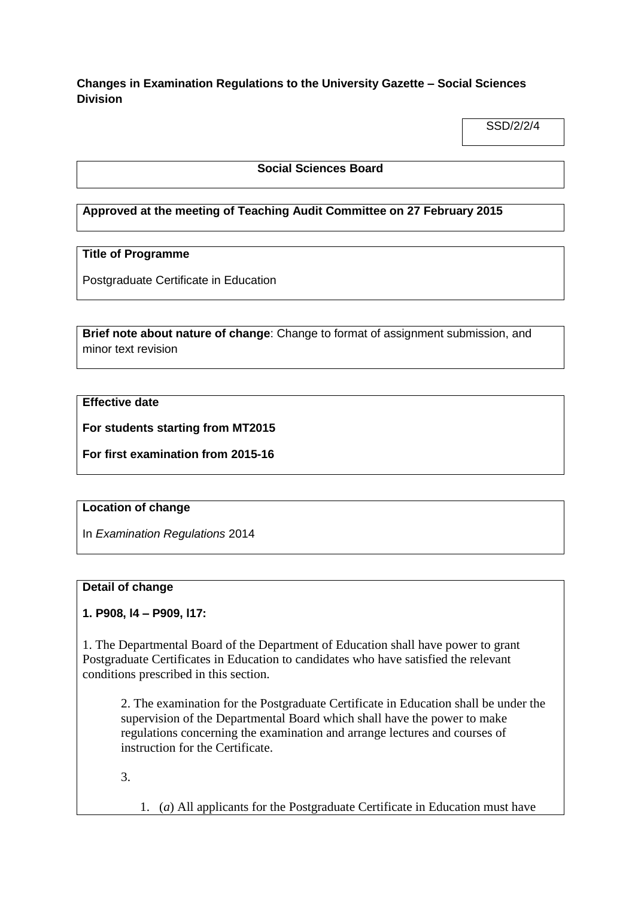**Changes in Examination Regulations to the University Gazette – Social Sciences Division**

SSD/2/2/4

### **Social Sciences Board**

## **Approved at the meeting of Teaching Audit Committee on 27 February 2015**

## **Title of Programme**

Postgraduate Certificate in Education

**Brief note about nature of change**: Change to format of assignment submission, and minor text revision

**Effective date**

**For students starting from MT2015**

**For first examination from 2015-16**

#### **Location of change**

In *Examination Regulations* 2014

#### **Detail of change**

## **1. P908, l4 – P909, l17:**

1. The Departmental Board of the Department of Education shall have power to grant Postgraduate Certificates in Education to candidates who have satisfied the relevant conditions prescribed in this section.

2. The examination for the Postgraduate Certificate in Education shall be under the supervision of the Departmental Board which shall have the power to make regulations concerning the examination and arrange lectures and courses of instruction for the Certificate.

3.

1. (*a*) All applicants for the Postgraduate Certificate in Education must have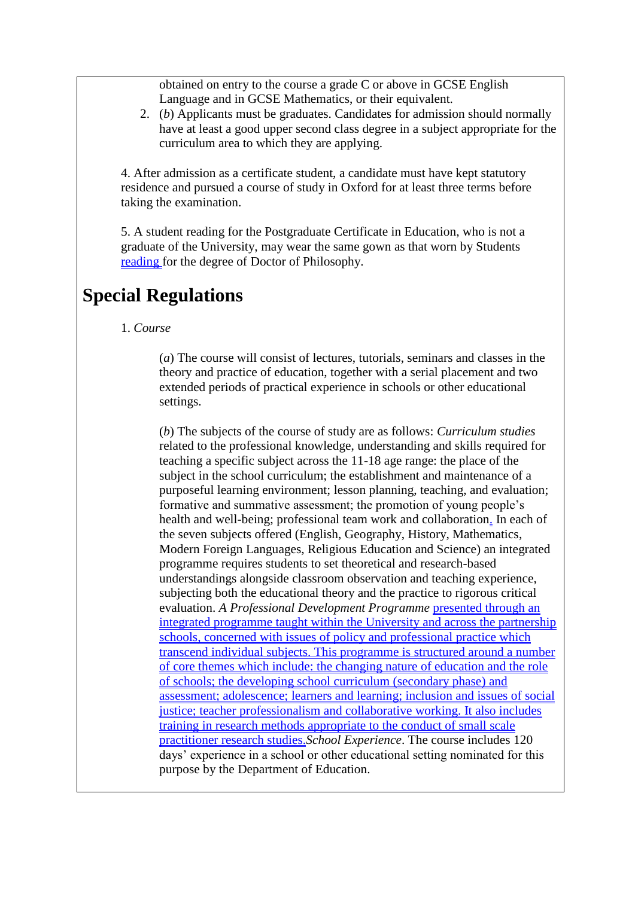obtained on entry to the course a grade C or above in GCSE English Language and in GCSE Mathematics, or their equivalent.

2. (*b*) Applicants must be graduates. Candidates for admission should normally have at least a good upper second class degree in a subject appropriate for the curriculum area to which they are applying.

4. After admission as a certificate student, a candidate must have kept statutory residence and pursued a course of study in Oxford for at least three terms before taking the examination.

5. A student reading for the Postgraduate Certificate in Education, who is not a graduate of the University, may wear the same gown as that worn by Students reading for the degree of Doctor of Philosophy.

# **Special Regulations**

# 1. *Course*

(*a*) The course will consist of lectures, tutorials, seminars and classes in the theory and practice of education, together with a serial placement and two extended periods of practical experience in schools or other educational settings.

(*b*) The subjects of the course of study are as follows: *Curriculum studies* related to the professional knowledge, understanding and skills required for teaching a specific subject across the 11-18 age range: the place of the subject in the school curriculum; the establishment and maintenance of a purposeful learning environment; lesson planning, teaching, and evaluation; formative and summative assessment; the promotion of young people's health and well-being; professional team work and collaboration. In each of the seven subjects offered (English, Geography, History, Mathematics, Modern Foreign Languages, Religious Education and Science) an integrated programme requires students to set theoretical and research-based understandings alongside classroom observation and teaching experience, subjecting both the educational theory and the practice to rigorous critical evaluation. *A Professional Development Programme* presented through an integrated programme taught within the University and across the partnership schools, concerned with issues of policy and professional practice which transcend individual subjects. This programme is structured around a number of core themes which include: the changing nature of education and the role of schools; the developing school curriculum (secondary phase) and assessment; adolescence; learners and learning; inclusion and issues of social justice; teacher professionalism and collaborative working. It also includes training in research methods appropriate to the conduct of small scale practitioner research studies.*School Experience*. The course includes 120 days' experience in a school or other educational setting nominated for this purpose by the Department of Education.